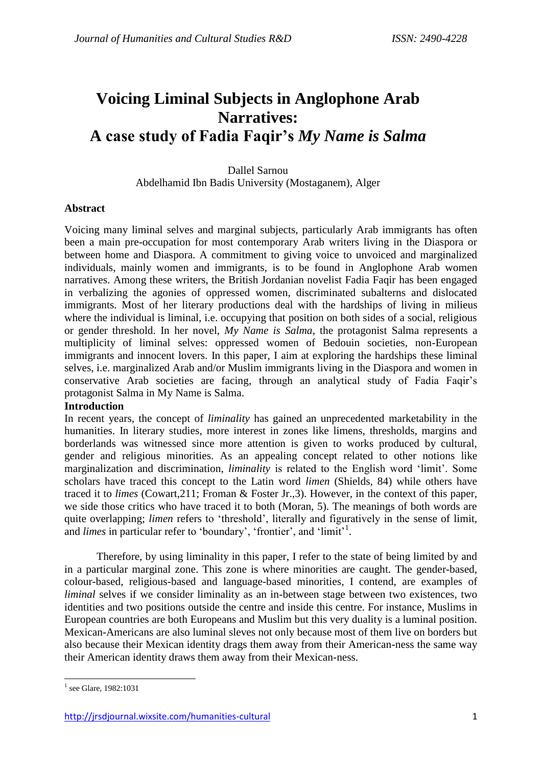# **Voicing Liminal Subjects in Anglophone Arab Narratives: A case study of Fadia Faqir's** *My Name is Salma*

Dallel Sarnou Abdelhamid Ibn Badis University (Mostaganem), Alger

# **Abstract**

Voicing many liminal selves and marginal subjects, particularly Arab immigrants has often been a main pre-occupation for most contemporary Arab writers living in the Diaspora or between home and Diaspora. A commitment to giving voice to unvoiced and marginalized individuals, mainly women and immigrants, is to be found in Anglophone Arab women narratives. Among these writers, the British Jordanian novelist Fadia Faqir has been engaged in verbalizing the agonies of oppressed women, discriminated subalterns and dislocated immigrants. Most of her literary productions deal with the hardships of living in milieus where the individual is liminal, i.e. occupying that position on both sides of a social, religious or gender threshold. In her novel, *My Name is Salma*, the protagonist Salma represents a multiplicity of liminal selves: oppressed women of Bedouin societies, non-European immigrants and innocent lovers. In this paper, I aim at exploring the hardships these liminal selves, i.e. marginalized Arab and/or Muslim immigrants living in the Diaspora and women in conservative Arab societies are facing, through an analytical study of Fadia Faqir's protagonist Salma in My Name is Salma.

### **Introduction**

In recent years, the concept of *liminality* has gained an unprecedented marketability in the humanities. In literary studies, more interest in zones like limens, thresholds, margins and borderlands was witnessed since more attention is given to works produced by cultural, gender and religious minorities. As an appealing concept related to other notions like marginalization and discrimination, *liminality* is related to the English word 'limit'. Some scholars have traced this concept to the Latin word *limen* (Shields, 84) while others have traced it to *limes* (Cowart,211; Froman & Foster Jr.,3). However, in the context of this paper, we side those critics who have traced it to both (Moran, 5). The meanings of both words are quite overlapping; *limen* refers to 'threshold', literally and figuratively in the sense of limit, and *limes* in particular refer to 'boundary', 'frontier', and 'limit'<sup>1</sup>.

Therefore, by using liminality in this paper, I refer to the state of being limited by and in a particular marginal zone. This zone is where minorities are caught. The gender-based, colour-based, religious-based and language-based minorities, I contend, are examples of *liminal* selves if we consider liminality as an in-between stage between two existences, two identities and two positions outside the centre and inside this centre. For instance, Muslims in European countries are both Europeans and Muslim but this very duality is a luminal position. Mexican-Americans are also luminal sleves not only because most of them live on borders but also because their Mexican identity drags them away from their American-ness the same way their American identity draws them away from their Mexican-ness.

<sup>1</sup> <sup>1</sup> see Glare, 1982:1031

<http://jrsdjournal.wixsite.com/humanities-cultural> 1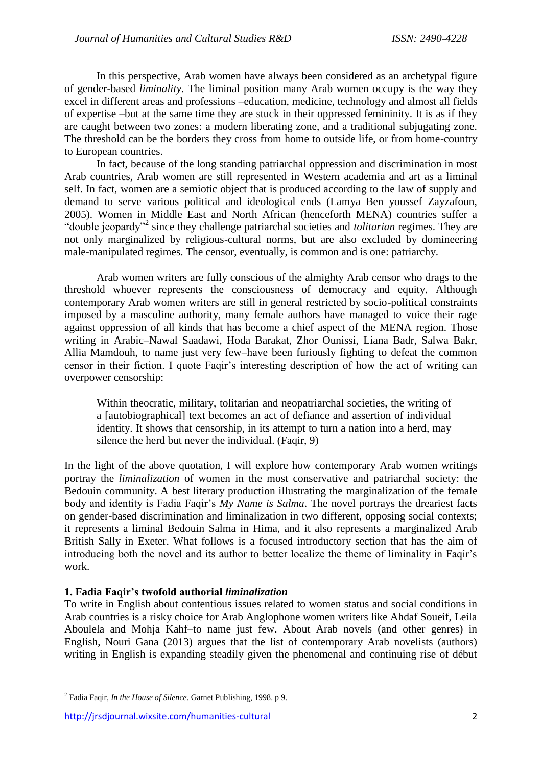In this perspective, Arab women have always been considered as an archetypal figure of gender-based *liminality*. The liminal position many Arab women occupy is the way they excel in different areas and professions –education, medicine, technology and almost all fields of expertise –but at the same time they are stuck in their oppressed femininity. It is as if they are caught between two zones: a modern liberating zone, and a traditional subjugating zone. The threshold can be the borders they cross from home to outside life, or from home-country to European countries.

In fact, because of the long standing patriarchal oppression and discrimination in most Arab countries, Arab women are still represented in Western academia and art as a liminal self. In fact, women are a semiotic object that is produced according to the law of supply and demand to serve various political and ideological ends (Lamya Ben youssef Zayzafoun, 2005). Women in Middle East and North African (henceforth MENA) countries suffer a "double jeopardy"<sup>2</sup> since they challenge patriarchal societies and *tolitarian* regimes. They are not only marginalized by religious-cultural norms, but are also excluded by domineering male-manipulated regimes. The censor, eventually, is common and is one: patriarchy.

Arab women writers are fully conscious of the almighty Arab censor who drags to the threshold whoever represents the consciousness of democracy and equity. Although contemporary Arab women writers are still in general restricted by socio-political constraints imposed by a masculine authority, many female authors have managed to voice their rage against oppression of all kinds that has become a chief aspect of the MENA region. Those writing in Arabic–Nawal Saadawi, Hoda Barakat, Zhor Ounissi, Liana Badr, Salwa Bakr, Allia Mamdouh, to name just very few–have been furiously fighting to defeat the common censor in their fiction. I quote Faqir's interesting description of how the act of writing can overpower censorship:

Within theocratic, military, tolitarian and neopatriarchal societies, the writing of a [autobiographical] text becomes an act of defiance and assertion of individual identity. It shows that censorship, in its attempt to turn a nation into a herd, may silence the herd but never the individual. (Faqir, 9)

In the light of the above quotation, I will explore how contemporary Arab women writings portray the *liminalization* of women in the most conservative and patriarchal society: the Bedouin community. A best literary production illustrating the marginalization of the female body and identity is Fadia Faqir's *My Name is Salma*. The novel portrays the dreariest facts on gender-based discrimination and liminalization in two different, opposing social contexts; it represents a liminal Bedouin Salma in Hima, and it also represents a marginalized Arab British Sally in Exeter. What follows is a focused introductory section that has the aim of introducing both the novel and its author to better localize the theme of liminality in Faqir's work.

#### **1. Fadia Faqir's twofold authorial** *liminalization*

To write in English about contentious issues related to women status and social conditions in Arab countries is a risky choice for Arab Anglophone women writers like Ahdaf Soueif, Leila Aboulela and Mohja Kahf–to name just few. About Arab novels (and other genres) in English, Nouri Gana (2013) argues that the list of contemporary Arab novelists (authors) writing in English is expanding steadily given the phenomenal and continuing rise of début

**.** 

<sup>2</sup> Fadia Faqir, *In the House of Silence*. Garnet Publishing, 1998. p 9.

<http://jrsdjournal.wixsite.com/humanities-cultural> 2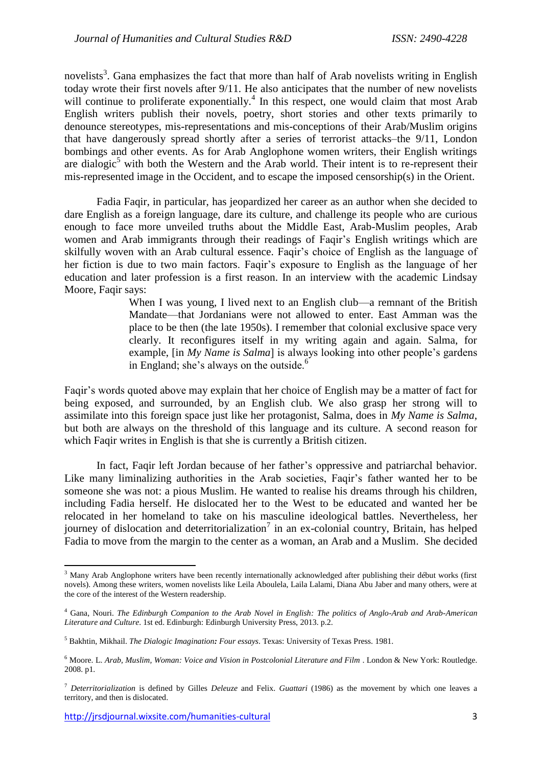novelists<sup>3</sup>. Gana emphasizes the fact that more than half of Arab novelists writing in English today wrote their first novels after 9/11. He also anticipates that the number of new novelists will continue to proliferate exponentially.<sup>4</sup> In this respect, one would claim that most Arab English writers publish their novels, poetry, short stories and other texts primarily to denounce stereotypes, mis-representations and mis-conceptions of their Arab/Muslim origins that have dangerously spread shortly after a series of terrorist attacks–the 9/11, London bombings and other events. As for Arab Anglophone women writers, their English writings are dialogic<sup>5</sup> with both the Western and the Arab world. Their intent is to re-represent their mis-represented image in the Occident, and to escape the imposed censorship(s) in the Orient.

Fadia Faqir, in particular, has jeopardized her career as an author when she decided to dare English as a foreign language, dare its culture, and challenge its people who are curious enough to face more unveiled truths about the Middle East, Arab-Muslim peoples, Arab women and Arab immigrants through their readings of Faqir's English writings which are skilfully woven with an Arab cultural essence. Faqir's choice of English as the language of her fiction is due to two main factors. Faqir's exposure to English as the language of her education and later profession is a first reason. In an interview with the academic Lindsay Moore, Faqir says:

> When I was young, I lived next to an English club—a remnant of the British Mandate—that Jordanians were not allowed to enter. East Amman was the place to be then (the late 1950s). I remember that colonial exclusive space very clearly. It reconfigures itself in my writing again and again. Salma, for example, [in *My Name is Salma*] is always looking into other people's gardens in England; she's always on the outside. $6$

Faqir's words quoted above may explain that her choice of English may be a matter of fact for being exposed, and surrounded, by an English club. We also grasp her strong will to assimilate into this foreign space just like her protagonist, Salma, does in *My Name is Salma*, but both are always on the threshold of this language and its culture. A second reason for which Faqir writes in English is that she is currently a British citizen.

In fact, Faqir left Jordan because of her father's oppressive and patriarchal behavior. Like many liminalizing authorities in the Arab societies, Faqir's father wanted her to be someone she was not: a pious Muslim. He wanted to realise his dreams through his children, including Fadia herself. He dislocated her to the West to be educated and wanted her be relocated in her homeland to take on his masculine ideological battles. Nevertheless, her journey of dislocation and deterritorialization<sup>7</sup> in an ex-colonial country, Britain, has helped Fadia to move from the margin to the center as a woman, an Arab and a Muslim. She decided

**.** 

<sup>&</sup>lt;sup>3</sup> Many Arab Anglophone writers have been recently internationally acknowledged after publishing their début works (first novels). Among these writers, women novelists like Leila Aboulela, Laila Lalami, Diana Abu Jaber and many others, were at the core of the interest of the Western readership.

<sup>4</sup> Gana, Nouri. *The Edinburgh Companion to the Arab Novel in English: The politics of Anglo-Arab and Arab-American Literature and Culture*. 1st ed. Edinburgh: Edinburgh University Press, 2013. p.2.

<sup>5</sup> Bakhtin, Mikhail. *The Dialogic Imagination: Four essays*. Texas: University of Texas Press. 1981.

<sup>6</sup> Moore. L. *Arab, Muslim, Woman: Voice and Vision in Postcolonial Literature and Film* . London & New York: Routledge. 2008. p1.

<sup>7</sup> *Deterritorialization* is defined by Gilles *Deleuze* and Felix. *Guattari* (1986) as the movement by which one leaves a territory, and then is dislocated.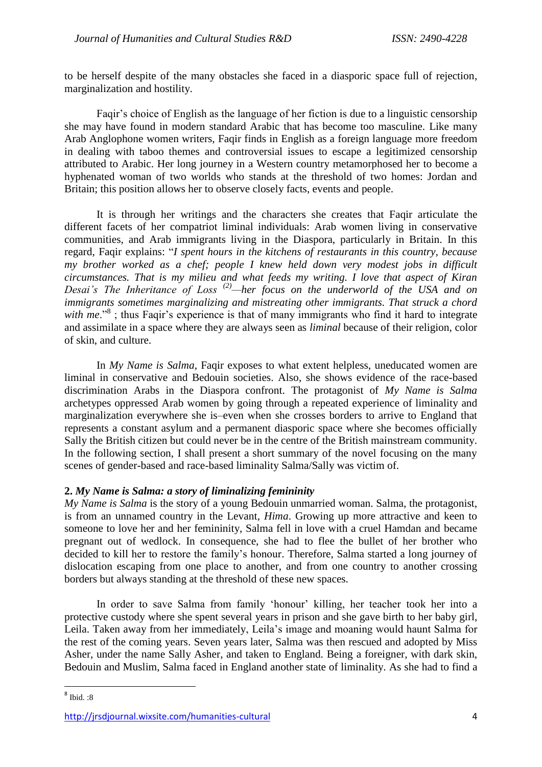to be herself despite of the many obstacles she faced in a diasporic space full of rejection, marginalization and hostility.

Faqir's choice of English as the language of her fiction is due to a linguistic censorship she may have found in modern standard Arabic that has become too masculine. Like many Arab Anglophone women writers, Faqir finds in English as a foreign language more freedom in dealing with taboo themes and controversial issues to escape a legitimized censorship attributed to Arabic. Her long journey in a Western country metamorphosed her to become a hyphenated woman of two worlds who stands at the threshold of two homes: Jordan and Britain; this position allows her to observe closely facts, events and people.

It is through her writings and the characters she creates that Faqir articulate the different facets of her compatriot liminal individuals: Arab women living in conservative communities, and Arab immigrants living in the Diaspora, particularly in Britain. In this regard, Faqir explains: "*I spent hours in the kitchens of restaurants in this country, because my brother worked as a chef; people I knew held down very modest jobs in difficult circumstances. That is my milieu and what feeds my writing. I love that aspect of Kiran Desai's The Inheritance of Loss (2)—her focus on the underworld of the USA and on immigrants sometimes marginalizing and mistreating other immigrants. That struck a chord*  with me."<sup>8</sup>; thus Faqir's experience is that of many immigrants who find it hard to integrate and assimilate in a space where they are always seen as *liminal* because of their religion, color of skin, and culture.

In *My Name is Salma*, Faqir exposes to what extent helpless, uneducated women are liminal in conservative and Bedouin societies. Also, she shows evidence of the race-based discrimination Arabs in the Diaspora confront. The protagonist of *My Name is Salma* archetypes oppressed Arab women by going through a repeated experience of liminality and marginalization everywhere she is–even when she crosses borders to arrive to England that represents a constant asylum and a permanent diasporic space where she becomes officially Sally the British citizen but could never be in the centre of the British mainstream community. In the following section, I shall present a short summary of the novel focusing on the many scenes of gender-based and race-based liminality Salma/Sally was victim of.

# **2.** *My Name is Salma: a story of liminalizing femininity*

*My Name is Salma* is the story of a young Bedouin unmarried woman. Salma, the protagonist, is from an unnamed country in the Levant, *Hima*. Growing up more attractive and keen to someone to love her and her femininity, Salma fell in love with a cruel Hamdan and became pregnant out of wedlock. In consequence, she had to flee the bullet of her brother who decided to kill her to restore the family's honour. Therefore, Salma started a long journey of dislocation escaping from one place to another, and from one country to another crossing borders but always standing at the threshold of these new spaces.

In order to save Salma from family 'honour' killing, her teacher took her into a protective custody where she spent several years in prison and she gave birth to her baby girl, Leila. Taken away from her immediately, Leila's image and moaning would haunt Salma for the rest of the coming years. Seven years later, Salma was then rescued and adopted by Miss Asher, under the name Sally Asher, and taken to England. Being a foreigner, with dark skin, Bedouin and Muslim, Salma faced in England another state of liminality. As she had to find a

<sup>&</sup>lt;sup>8</sup> Ibid. :8

<http://jrsdjournal.wixsite.com/humanities-cultural> 4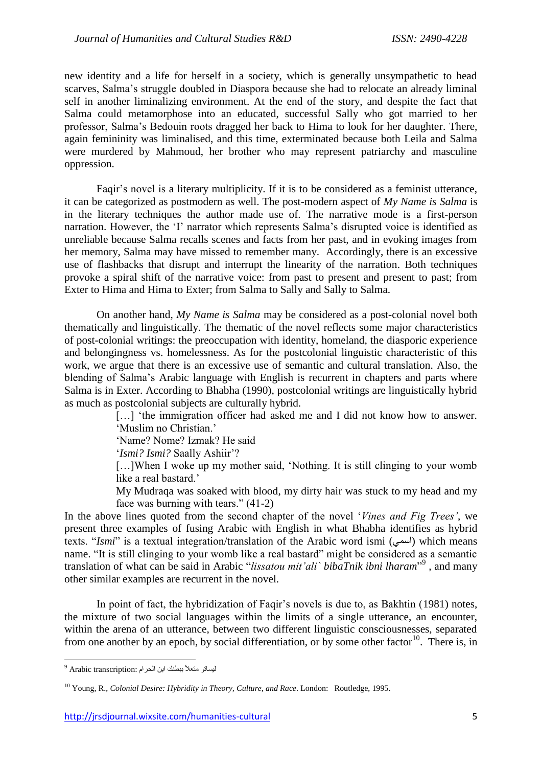new identity and a life for herself in a society, which is generally unsympathetic to head scarves, Salma's struggle doubled in Diaspora because she had to relocate an already liminal self in another liminalizing environment. At the end of the story, and despite the fact that Salma could metamorphose into an educated, successful Sally who got married to her professor, Salma's Bedouin roots dragged her back to Hima to look for her daughter. There, again femininity was liminalised, and this time, exterminated because both Leila and Salma were murdered by Mahmoud, her brother who may represent patriarchy and masculine oppression.

Faqir's novel is a literary multiplicity. If it is to be considered as a feminist utterance, it can be categorized as postmodern as well. The post-modern aspect of *My Name is Salma* is in the literary techniques the author made use of. The narrative mode is a first-person narration. However, the 'I' narrator which represents Salma's disrupted voice is identified as unreliable because Salma recalls scenes and facts from her past, and in evoking images from her memory, Salma may have missed to remember many. Accordingly, there is an excessive use of flashbacks that disrupt and interrupt the linearity of the narration. Both techniques provoke a spiral shift of the narrative voice: from past to present and present to past; from Exter to Hima and Hima to Exter; from Salma to Sally and Sally to Salma.

On another hand, *My Name is Salma* may be considered as a post-colonial novel both thematically and linguistically. The thematic of the novel reflects some major characteristics of post-colonial writings: the preoccupation with identity, homeland, the diasporic experience and belongingness vs. homelessness. As for the postcolonial linguistic characteristic of this work, we argue that there is an excessive use of semantic and cultural translation. Also, the blending of Salma's Arabic language with English is recurrent in chapters and parts where Salma is in Exter. According to Bhabha (1990), postcolonial writings are linguistically hybrid as much as postcolonial subjects are culturally hybrid.

> [...] 'the immigration officer had asked me and I did not know how to answer. 'Muslim no Christian.'

'Name? Nome? Izmak? He said

'*Ismi? Ismi?* Saally Ashiir'?

[...]When I woke up my mother said, 'Nothing. It is still clinging to your womb like a real bastard.'

My Mudraqa was soaked with blood, my dirty hair was stuck to my head and my face was burning with tears." (41-2)

In the above lines quoted from the second chapter of the novel '*Vines and Fig Trees'*, we present three examples of fusing Arabic with English in what Bhabha identifies as hybrid texts. "*Ismi*" is a textual integration/translation of the Arabic word ismi (اسمى) which means name. "It is still clinging to your womb like a real bastard" might be considered as a semantic translation of what can be said in Arabic "*lissatou mit'ali` bibaTnik ibni lharam*" 9 , and many other similar examples are recurrent in the novel.

In point of fact, the hybridization of Faqir's novels is due to, as Bakhtin (1981) notes, the mixture of two social languages within the limits of a single utterance, an encounter, within the arena of an utterance, between two different linguistic consciousnesses, separated from one another by an epoch, by social differentiation, or by some other factor<sup>10</sup>. There is, in

<sup>1</sup> ليساتو متعلأ ببطنك ابن الحرام :Arabic transcription <sup>9</sup>

<sup>10</sup> Young, R., *Colonial Desire: Hybridity in Theory, Culture, and Race*. London: Routledge, 1995.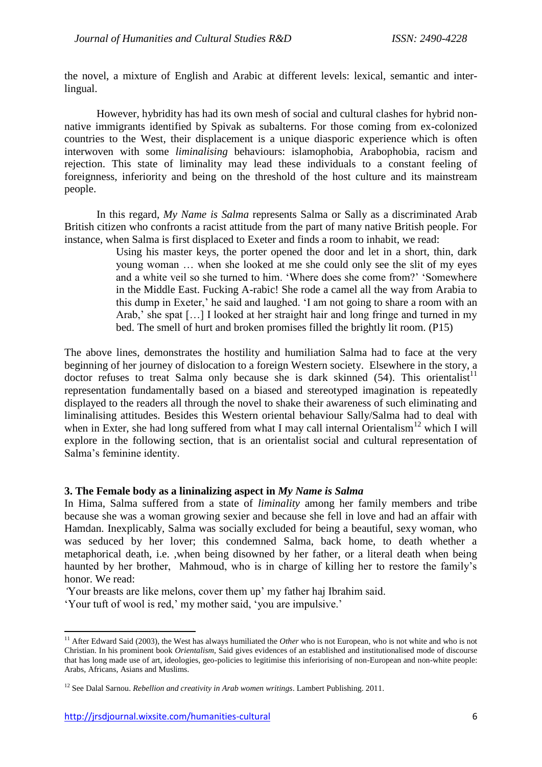the novel, a mixture of English and Arabic at different levels: lexical, semantic and interlingual.

However, hybridity has had its own mesh of social and cultural clashes for hybrid nonnative immigrants identified by Spivak as subalterns. For those coming from ex-colonized countries to the West, their displacement is a unique diasporic experience which is often interwoven with some *liminalising* behaviours: islamophobia, Arabophobia, racism and rejection. This state of liminality may lead these individuals to a constant feeling of foreignness, inferiority and being on the threshold of the host culture and its mainstream people.

In this regard, *My Name is Salma* represents Salma or Sally as a discriminated Arab British citizen who confronts a racist attitude from the part of many native British people. For instance, when Salma is first displaced to Exeter and finds a room to inhabit, we read:

Using his master keys, the porter opened the door and let in a short, thin, dark young woman … when she looked at me she could only see the slit of my eyes and a white veil so she turned to him. 'Where does she come from?' 'Somewhere in the Middle East. Fucking A-rabic! She rode a camel all the way from Arabia to this dump in Exeter,' he said and laughed. 'I am not going to share a room with an Arab,' she spat […] I looked at her straight hair and long fringe and turned in my bed. The smell of hurt and broken promises filled the brightly lit room. (P15)

The above lines, demonstrates the hostility and humiliation Salma had to face at the very beginning of her journey of dislocation to a foreign Western society. Elsewhere in the story, a doctor refuses to treat Salma only because she is dark skinned  $(54)$ . This orientalist<sup>11</sup> representation fundamentally based on a biased and stereotyped imagination is repeatedly displayed to the readers all through the novel to shake their awareness of such eliminating and liminalising attitudes. Besides this Western oriental behaviour Sally/Salma had to deal with when in Exter, she had long suffered from what I may call internal Orientalism<sup>12</sup> which I will explore in the following section, that is an orientalist social and cultural representation of Salma's feminine identity.

### **3. The Female body as a lininalizing aspect in** *My Name is Salma*

In Hima, Salma suffered from a state of *liminality* among her family members and tribe because she was a woman growing sexier and because she fell in love and had an affair with Hamdan. Inexplicably, Salma was socially excluded for being a beautiful, sexy woman, who was seduced by her lover; this condemned Salma, back home, to death whether a metaphorical death, i.e. ,when being disowned by her father, or a literal death when being haunted by her brother, Mahmoud, who is in charge of killing her to restore the family's honor. We read:

*'*Your breasts are like melons, cover them up' my father haj Ibrahim said.

'Your tuft of wool is red,' my mother said, 'you are impulsive.'

1

<sup>&</sup>lt;sup>11</sup> After Edward Said (2003), the West has always humiliated the *Other* who is not European, who is not white and who is not Christian. In his prominent book *Orientalism*, Said gives evidences of an established and institutionalised mode of discourse that has long made use of art, ideologies, geo-policies to legitimise this inferiorising of non-European and non-white people: Arabs, Africans, Asians and Muslims.

<sup>12</sup> See Dalal Sarnou. *Rebellion and creativity in Arab women writings*. Lambert Publishing. 2011.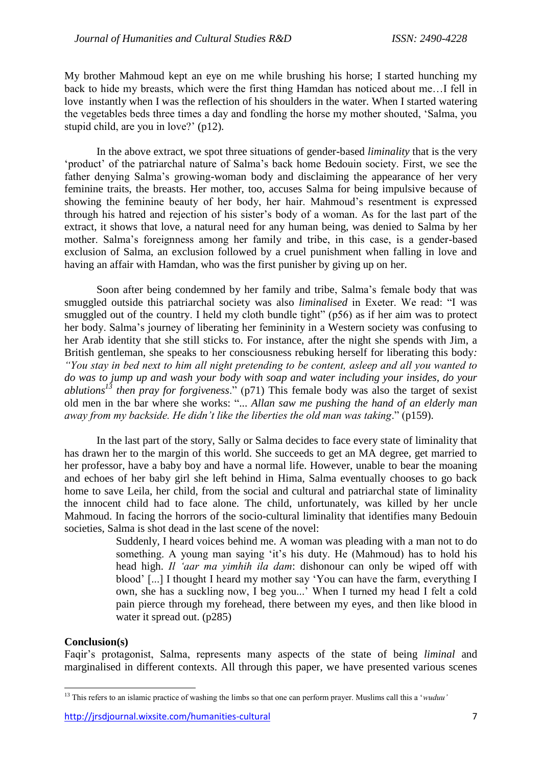My brother Mahmoud kept an eye on me while brushing his horse; I started hunching my back to hide my breasts, which were the first thing Hamdan has noticed about me…I fell in love instantly when I was the reflection of his shoulders in the water. When I started watering the vegetables beds three times a day and fondling the horse my mother shouted, 'Salma, you stupid child, are you in love?' (p12).

In the above extract, we spot three situations of gender-based *liminality* that is the very 'product' of the patriarchal nature of Salma's back home Bedouin society. First, we see the father denying Salma's growing-woman body and disclaiming the appearance of her very feminine traits, the breasts. Her mother, too, accuses Salma for being impulsive because of showing the feminine beauty of her body, her hair. Mahmoud's resentment is expressed through his hatred and rejection of his sister's body of a woman. As for the last part of the extract, it shows that love, a natural need for any human being, was denied to Salma by her mother. Salma's foreignness among her family and tribe, in this case, is a gender-based exclusion of Salma, an exclusion followed by a cruel punishment when falling in love and having an affair with Hamdan, who was the first punisher by giving up on her.

Soon after being condemned by her family and tribe, Salma's female body that was smuggled outside this patriarchal society was also *liminalised* in Exeter. We read: "I was smuggled out of the country. I held my cloth bundle tight" (p56) as if her aim was to protect her body. Salma's journey of liberating her femininity in a Western society was confusing to her Arab identity that she still sticks to. For instance, after the night she spends with Jim, a British gentleman, she speaks to her consciousness rebuking herself for liberating this body*: "You stay in bed next to him all night pretending to be content, asleep and all you wanted to do was to jump up and wash your body with soap and water including your insides, do your ablutions<sup>13</sup> then pray for forgiveness*." (p71) This female body was also the target of sexist old men in the bar where she works: "... *Allan saw me pushing the hand of an elderly man away from my backside. He didn't like the liberties the old man was taking*." (p159).

In the last part of the story, Sally or Salma decides to face every state of liminality that has drawn her to the margin of this world. She succeeds to get an MA degree, get married to her professor, have a baby boy and have a normal life. However, unable to bear the moaning and echoes of her baby girl she left behind in Hima, Salma eventually chooses to go back home to save Leila, her child, from the social and cultural and patriarchal state of liminality the innocent child had to face alone. The child, unfortunately, was killed by her uncle Mahmoud. In facing the horrors of the socio-cultural liminality that identifies many Bedouin societies, Salma is shot dead in the last scene of the novel:

> Suddenly, I heard voices behind me. A woman was pleading with a man not to do something. A young man saying 'it's his duty. He (Mahmoud) has to hold his head high. *Il 'aar ma yimhih ila dam*: dishonour can only be wiped off with blood' [...] I thought I heard my mother say 'You can have the farm, everything I own, she has a suckling now, I beg you...' When I turned my head I felt a cold pain pierce through my forehead, there between my eyes, and then like blood in water it spread out. (p285)

### **Conclusion(s)**

**.** 

Faqir's protagonist, Salma, represents many aspects of the state of being *liminal* and marginalised in different contexts. All through this paper, we have presented various scenes

<sup>&</sup>lt;sup>13</sup> This refers to an islamic practice of washing the limbs so that one can perform prayer. Muslims call this a '*wuduu'*